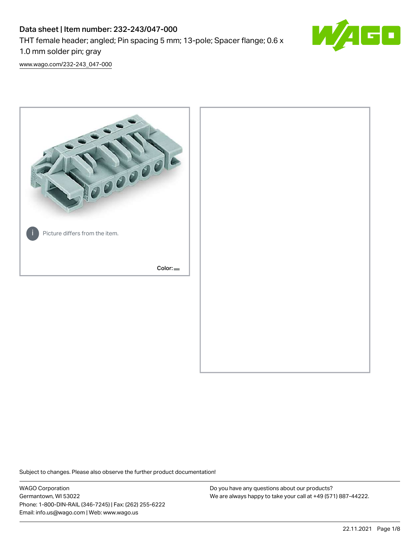# Data sheet | Item number: 232-243/047-000 THT female header; angled; Pin spacing 5 mm; 13-pole; Spacer flange; 0.6 x 1.0 mm solder pin; gray



[www.wago.com/232-243\\_047-000](http://www.wago.com/232-243_047-000)



Subject to changes. Please also observe the further product documentation!

WAGO Corporation Germantown, WI 53022 Phone: 1-800-DIN-RAIL (346-7245) | Fax: (262) 255-6222 Email: info.us@wago.com | Web: www.wago.us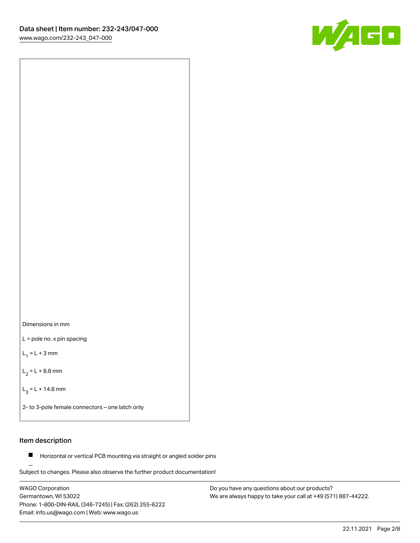



L = pole no. x pin spacing

 $L_1 = L + 3$  mm

 $L_2 = L + 8.8$  mm

 $L_3 = L + 14.8$  mm

2- to 3-pole female connectors – one latch only

# Item description

**Horizontal or vertical PCB mounting via straight or angled solder pins** 

Subject to changes. Please also observe the further product documentation! For board-to-board and board-to-wire connections

WAGO Corporation Germantown, WI 53022 Phone: 1-800-DIN-RAIL (346-7245) | Fax: (262) 255-6222 Email: info.us@wago.com | Web: www.wago.us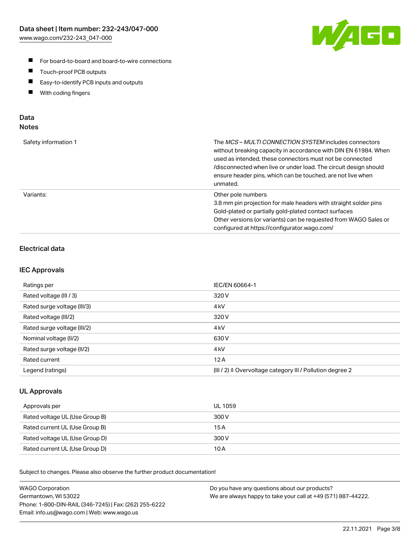

- For board-to-board and board-to-wire connections
- $\blacksquare$ Touch-proof PCB outputs
- $\blacksquare$ Easy-to-identify PCB inputs and outputs
- $\blacksquare$ With coding fingers

# Data **Notes**

| Safety information 1 | The <i>MCS – MULTI CONNECTION SYSTEM</i> includes connectors<br>without breaking capacity in accordance with DIN EN 61984. When<br>used as intended, these connectors must not be connected<br>/disconnected when live or under load. The circuit design should<br>ensure header pins, which can be touched, are not live when<br>unmated. |
|----------------------|--------------------------------------------------------------------------------------------------------------------------------------------------------------------------------------------------------------------------------------------------------------------------------------------------------------------------------------------|
| Variants:            | Other pole numbers<br>3.8 mm pin projection for male headers with straight solder pins<br>Gold-plated or partially gold-plated contact surfaces<br>Other versions (or variants) can be requested from WAGO Sales or<br>configured at https://configurator.wago.com/                                                                        |

# Electrical data

# IEC Approvals

| Ratings per                 | IEC/EN 60664-1                                                        |
|-----------------------------|-----------------------------------------------------------------------|
| Rated voltage (III / 3)     | 320 V                                                                 |
| Rated surge voltage (III/3) | 4 <sub>k</sub> V                                                      |
| Rated voltage (III/2)       | 320 V                                                                 |
| Rated surge voltage (III/2) | 4 <sub>k</sub> V                                                      |
| Nominal voltage (II/2)      | 630 V                                                                 |
| Rated surge voltage (II/2)  | 4 <sub>kV</sub>                                                       |
| Rated current               | 12A                                                                   |
| Legend (ratings)            | $(III / 2)$ $\triangle$ Overvoltage category III / Pollution degree 2 |

# UL Approvals

| Approvals per                  | UL 1059 |
|--------------------------------|---------|
| Rated voltage UL (Use Group B) | 300 V   |
| Rated current UL (Use Group B) | 15 A    |
| Rated voltage UL (Use Group D) | 300 V   |
| Rated current UL (Use Group D) | 10 A    |

Subject to changes. Please also observe the further product documentation!

| <b>WAGO Corporation</b>                                | Do you have any questions about our products?                 |
|--------------------------------------------------------|---------------------------------------------------------------|
| Germantown, WI 53022                                   | We are always happy to take your call at +49 (571) 887-44222. |
| Phone: 1-800-DIN-RAIL (346-7245)   Fax: (262) 255-6222 |                                                               |
| Email: info.us@wago.com   Web: www.wago.us             |                                                               |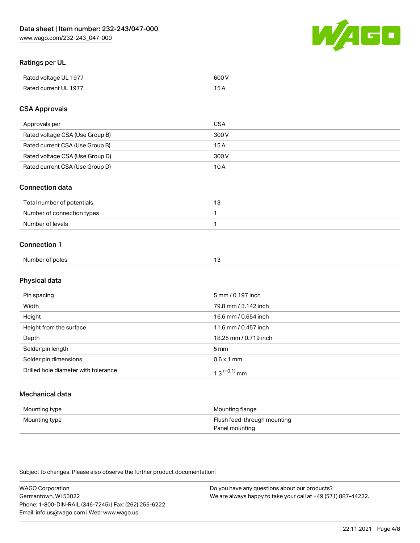

# Ratings per UL

| Rated voltage UL 1977 | soo v<br>วบบ<br>. |
|-----------------------|-------------------|
| Rated current UL 1977 | --                |
|                       | . J <i>r</i>      |

# CSA Approvals

| Approvals per                   | CSA   |
|---------------------------------|-------|
| Rated voltage CSA (Use Group B) | 300 V |
| Rated current CSA (Use Group B) | 15 A  |
| Rated voltage CSA (Use Group D) | 300 V |
| Rated current CSA (Use Group D) | 10 A  |

#### Connection data

| Total number of potentials |  |
|----------------------------|--|
| Number of connection types |  |
| Number of levels           |  |

#### Connection 1

| Number of poles |  |
|-----------------|--|
|                 |  |

# Physical data

| Pin spacing                          | 5 mm / 0.197 inch          |
|--------------------------------------|----------------------------|
| Width                                | 79.8 mm / 3.142 inch       |
| Height                               | 16.6 mm / 0.654 inch       |
| Height from the surface              | 11.6 mm / 0.457 inch       |
| Depth                                | 18.25 mm / 0.719 inch      |
| Solder pin length                    | 5 mm                       |
| Solder pin dimensions                | $0.6 \times 1$ mm          |
| Drilled hole diameter with tolerance | $1.3$ <sup>(+0.1)</sup> mm |

# Mechanical data

| Mounting type | Mounting flange             |
|---------------|-----------------------------|
| Mounting type | Flush feed-through mounting |
|               | Panel mounting              |

Subject to changes. Please also observe the further product documentation!

| <b>WAGO Corporation</b>                                | Do you have any questions about our products?                 |
|--------------------------------------------------------|---------------------------------------------------------------|
| Germantown, WI 53022                                   | We are always happy to take your call at +49 (571) 887-44222. |
| Phone: 1-800-DIN-RAIL (346-7245)   Fax: (262) 255-6222 |                                                               |
| Email: info.us@wago.com   Web: www.wago.us             |                                                               |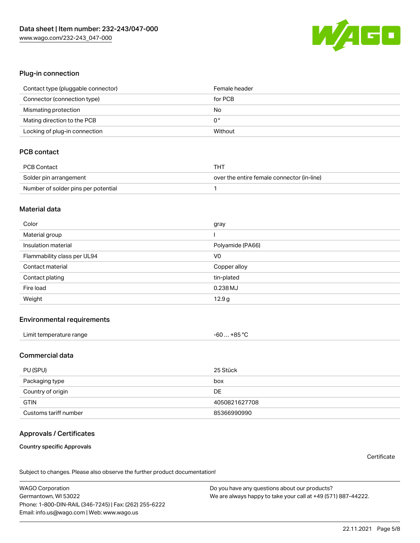

#### Plug-in connection

| Contact type (pluggable connector) | Female header |
|------------------------------------|---------------|
| Connector (connection type)        | for PCB       |
| Mismating protection               | No            |
| Mating direction to the PCB        | 0°            |
| Locking of plug-in connection      | Without       |

# PCB contact

| PCB Contact                         | тнт                                        |
|-------------------------------------|--------------------------------------------|
| Solder pin arrangement              | over the entire female connector (in-line) |
| Number of solder pins per potential |                                            |

#### Material data

| Color                       | gray             |
|-----------------------------|------------------|
| Material group              |                  |
| Insulation material         | Polyamide (PA66) |
| Flammability class per UL94 | V <sub>0</sub>   |
| Contact material            | Copper alloy     |
| Contact plating             | tin-plated       |
| Fire load                   | 0.238 MJ         |
| Weight                      | 12.9g            |

#### Environmental requirements

| Limit temperature range | $-60+85 °C$ |  |
|-------------------------|-------------|--|
|-------------------------|-------------|--|

### Commercial data

| PU (SPU)              | 25 Stück      |
|-----------------------|---------------|
| Packaging type        | box           |
| Country of origin     | DE            |
| <b>GTIN</b>           | 4050821627708 |
| Customs tariff number | 85366990990   |

# Approvals / Certificates

#### Country specific Approvals

**Certificate** 

Subject to changes. Please also observe the further product documentation!

WAGO Corporation Germantown, WI 53022 Phone: 1-800-DIN-RAIL (346-7245) | Fax: (262) 255-6222 Email: info.us@wago.com | Web: www.wago.us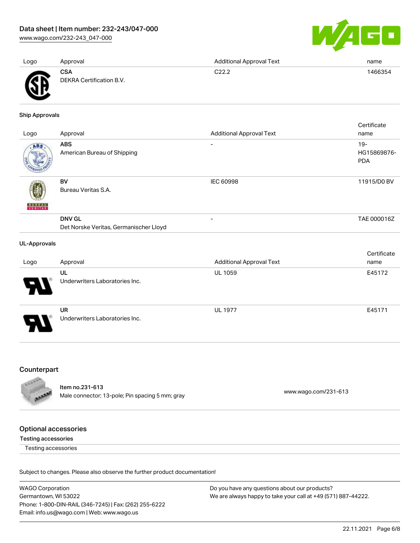[www.wago.com/232-243\\_047-000](http://www.wago.com/232-243_047-000)



| Logo | Approval                               | <b>Additional Approval Text</b> | name    |
|------|----------------------------------------|---------------------------------|---------|
| Ж    | <b>CSA</b><br>DEKRA Certification B.V. | C22.2                           | 1466354 |

Ship Approvals

| Logo                | Approval                                                | <b>Additional Approval Text</b> | Certificate<br>name                 |
|---------------------|---------------------------------------------------------|---------------------------------|-------------------------------------|
| ABS                 | <b>ABS</b><br>American Bureau of Shipping               | $\overline{\phantom{0}}$        | $19 -$<br>HG15869876-<br><b>PDA</b> |
| <b>BUREAU</b>       | BV<br>Bureau Veritas S.A.                               | <b>IEC 60998</b>                | 11915/D0 BV                         |
|                     | <b>DNV GL</b><br>Det Norske Veritas, Germanischer Lloyd |                                 | TAE 000016Z                         |
| <b>UL-Approvals</b> |                                                         |                                 | Certificate                         |

| Logo                  | Approval                       | <b>Additional Approval Text</b> | name   |
|-----------------------|--------------------------------|---------------------------------|--------|
|                       | UL                             | <b>UL 1059</b>                  | E45172 |
| $\boldsymbol{\theta}$ | Underwriters Laboratories Inc. |                                 |        |
|                       | <b>UR</b>                      | <b>UL 1977</b>                  | E45171 |
| ρ                     | Underwriters Laboratories Inc. |                                 |        |

# Counterpart



Item no.231-613 nem 10.231-613<br>Male connector; 13-pole; Pin spacing 5 mm; gray [www.wago.com/231-613](https://www.wago.com/231-613)

# Optional accessories

Testing accessories

Testing accessories

Subject to changes. Please also observe the further product documentation!

WAGO Corporation Germantown, WI 53022 Phone: 1-800-DIN-RAIL (346-7245) | Fax: (262) 255-6222 Email: info.us@wago.com | Web: www.wago.us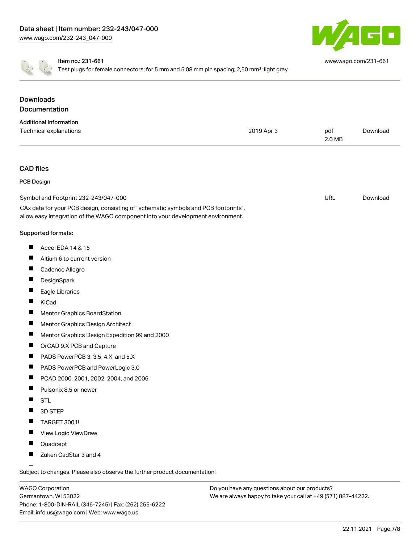

[www.wago.com/231-661](http://www.wago.com/231-661)

Item no.: 231-661

Test plugs for female connectors; for 5 mm and 5.08 mm pin spacing; 2,50 mm<sup>2</sup>; light gray

| <b>Downloads</b>                                                                                                                                                       |            |               |          |
|------------------------------------------------------------------------------------------------------------------------------------------------------------------------|------------|---------------|----------|
| Documentation                                                                                                                                                          |            |               |          |
| <b>Additional Information</b><br>Technical explanations                                                                                                                | 2019 Apr 3 | pdf<br>2.0 MB | Download |
| <b>CAD files</b>                                                                                                                                                       |            |               |          |
| <b>PCB Design</b>                                                                                                                                                      |            |               |          |
| Symbol and Footprint 232-243/047-000                                                                                                                                   |            | <b>URL</b>    | Download |
| CAx data for your PCB design, consisting of "schematic symbols and PCB footprints",<br>allow easy integration of the WAGO component into your development environment. |            |               |          |
| Supported formats:                                                                                                                                                     |            |               |          |
| ш<br>Accel EDA 14 & 15                                                                                                                                                 |            |               |          |
| Altium 6 to current version<br>ш                                                                                                                                       |            |               |          |
| ш<br>Cadence Allegro                                                                                                                                                   |            |               |          |
| ш<br>DesignSpark                                                                                                                                                       |            |               |          |
| Eagle Libraries<br>ш                                                                                                                                                   |            |               |          |
| KiCad<br>ш                                                                                                                                                             |            |               |          |
| ш<br>Mentor Graphics BoardStation                                                                                                                                      |            |               |          |
| Mentor Graphics Design Architect                                                                                                                                       |            |               |          |
| ш<br>Mentor Graphics Design Expedition 99 and 2000                                                                                                                     |            |               |          |
| ш<br>OrCAD 9.X PCB and Capture                                                                                                                                         |            |               |          |
| PADS PowerPCB 3, 3.5, 4.X, and 5.X                                                                                                                                     |            |               |          |
| ш<br>PADS PowerPCB and PowerLogic 3.0                                                                                                                                  |            |               |          |
| ш<br>PCAD 2000, 2001, 2002, 2004, and 2006                                                                                                                             |            |               |          |
| Pulsonix 8.5 or newer<br>ш                                                                                                                                             |            |               |          |
| <b>STL</b>                                                                                                                                                             |            |               |          |
| 3D STEP                                                                                                                                                                |            |               |          |
| <b>TARGET 3001!</b>                                                                                                                                                    |            |               |          |
| View Logic ViewDraw                                                                                                                                                    |            |               |          |
| Quadcept                                                                                                                                                               |            |               |          |
| Zuken CadStar 3 and 4                                                                                                                                                  |            |               |          |

Subject to changes. Please also observe the further product documentation!

WAGO Corporation Germantown, WI 53022 Phone: 1-800-DIN-RAIL (346-7245) | Fax: (262) 255-6222 Email: info.us@wago.com | Web: www.wago.us